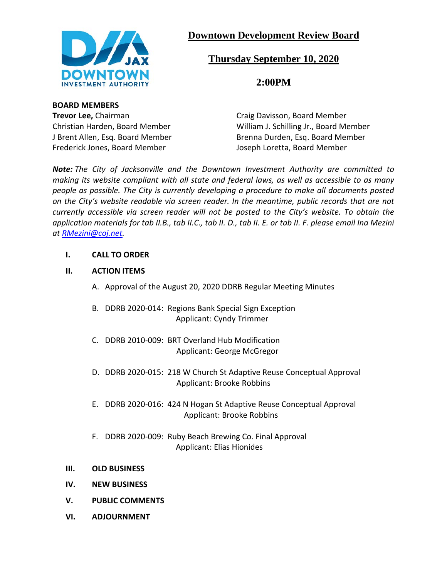

# **Downtown Development Review Board**

# **Thursday September 10, 2020**

**2:00PM**

### **BOARD MEMBERS**

**Trevor Lee, Chairman Craig Davisson, Board Member** Frederick Jones, Board Member Joseph Loretta, Board Member

Christian Harden, Board Member William J. Schilling Jr., Board Member J Brent Allen, Esq. Board Member Brenna Durden, Esq. Board Member

*Note: The City of Jacksonville and the Downtown Investment Authority are committed to making its website compliant with all state and federal laws, as well as accessible to as many people as possible. The City is currently developing a procedure to make all documents posted on the City's website readable via screen reader. In the meantime, public records that are not currently accessible via screen reader will not be posted to the City's website. To obtain the application materials for tab II.B., tab II.C., tab II. D., tab II. E. or tab II. F. please email Ina Mezini at [RMezini@coj.net.](mailto:RMezini@coj.net)*

# **I. CALL TO ORDER**

# **II. ACTION ITEMS**

- A. Approval of the August 20, 2020 DDRB Regular Meeting Minutes
- B. DDRB 2020-014: Regions Bank Special Sign Exception Applicant: Cyndy Trimmer
- C. DDRB 2010-009: BRT Overland Hub Modification Applicant: George McGregor
- D. DDRB 2020-015: 218 W Church St Adaptive Reuse Conceptual Approval Applicant: Brooke Robbins
- E. DDRB 2020-016: 424 N Hogan St Adaptive Reuse Conceptual Approval Applicant: Brooke Robbins
- F. DDRB 2020-009: Ruby Beach Brewing Co. Final Approval Applicant: Elias Hionides
- **III. OLD BUSINESS**
- **IV. NEW BUSINESS**
- **V. PUBLIC COMMENTS**
- **VI. ADJOURNMENT**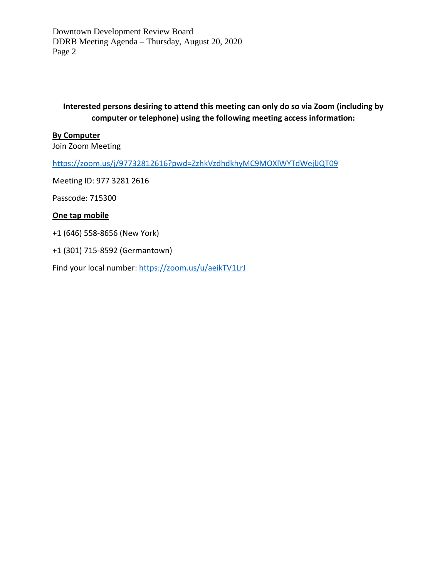Downtown Development Review Board DDRB Meeting Agenda – Thursday, August 20, 2020 Page 2

**Interested persons desiring to attend this meeting can only do so via Zoom (including by computer or telephone) using the following meeting access information:**

#### **By Computer**

Join Zoom Meeting

<https://zoom.us/j/97732812616?pwd=ZzhkVzdhdkhyMC9MOXlWYTdWejlJQT09>

Meeting ID: 977 3281 2616

Passcode: 715300

#### **One tap mobile**

+1 (646) 558-8656 (New York)

+1 (301) 715-8592 (Germantown)

Find your local number:<https://zoom.us/u/aeikTV1LrJ>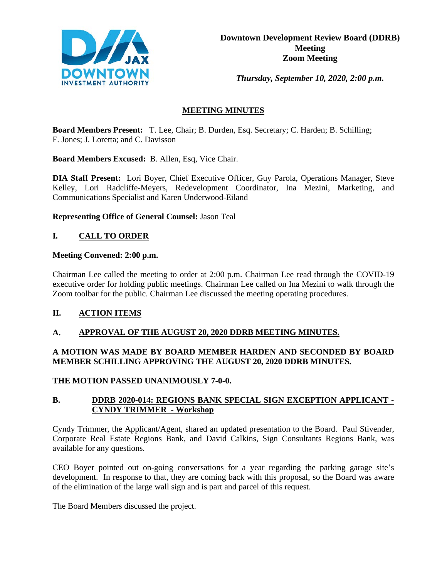

*Thursday, September 10, 2020, 2:00 p.m.* 

# **MEETING MINUTES**

**Board Members Present:** T. Lee, Chair; B. Durden, Esq. Secretary; C. Harden; B. Schilling; F. Jones; J. Loretta; and C. Davisson

**Board Members Excused:** B. Allen, Esq, Vice Chair.

**DIA Staff Present:** Lori Boyer, Chief Executive Officer, Guy Parola, Operations Manager, Steve Kelley, Lori Radcliffe-Meyers, Redevelopment Coordinator, Ina Mezini, Marketing, and Communications Specialist and Karen Underwood-Eiland

**Representing Office of General Counsel:** Jason Teal

# **I. CALL TO ORDER**

#### **Meeting Convened: 2:00 p.m.**

Chairman Lee called the meeting to order at 2:00 p.m. Chairman Lee read through the COVID-19 executive order for holding public meetings. Chairman Lee called on Ina Mezini to walk through the Zoom toolbar for the public. Chairman Lee discussed the meeting operating procedures.

# **II. ACTION ITEMS**

# **A. APPROVAL OF THE AUGUST 20, 2020 DDRB MEETING MINUTES.**

# **A MOTION WAS MADE BY BOARD MEMBER HARDEN AND SECONDED BY BOARD MEMBER SCHILLING APPROVING THE AUGUST 20, 2020 DDRB MINUTES.**

# **THE MOTION PASSED UNANIMOUSLY 7-0-0.**

# **B. DDRB 2020-014: REGIONS BANK SPECIAL SIGN EXCEPTION APPLICANT - CYNDY TRIMMER - Workshop**

Cyndy Trimmer, the Applicant/Agent, shared an updated presentation to the Board. Paul Stivender, Corporate Real Estate Regions Bank, and David Calkins, Sign Consultants Regions Bank, was available for any questions.

CEO Boyer pointed out on-going conversations for a year regarding the parking garage site's development. In response to that, they are coming back with this proposal, so the Board was aware of the elimination of the large wall sign and is part and parcel of this request.

The Board Members discussed the project.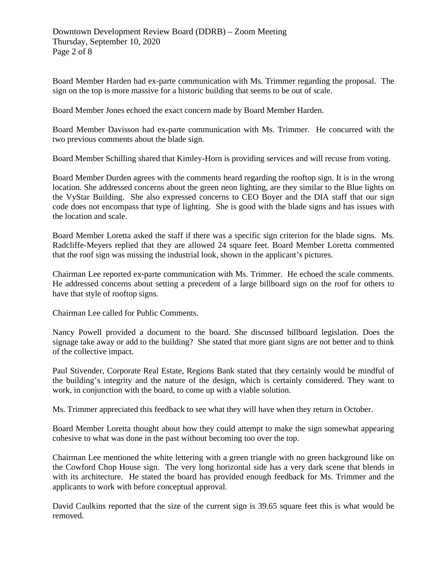Board Member Harden had ex-parte communication with Ms. Trimmer regarding the proposal. The sign on the top is more massive for a historic building that seems to be out of scale.

Board Member Jones echoed the exact concern made by Board Member Harden.

Board Member Davisson had ex-parte communication with Ms. Trimmer. He concurred with the two previous comments about the blade sign.

Board Member Schilling shared that Kimley-Horn is providing services and will recuse from voting.

Board Member Durden agrees with the comments heard regarding the rooftop sign. It is in the wrong location. She addressed concerns about the green neon lighting, are they similar to the Blue lights on the VyStar Building. She also expressed concerns to CEO Boyer and the DIA staff that our sign code does not encompass that type of lighting. She is good with the blade signs and has issues with the location and scale.

Board Member Loretta asked the staff if there was a specific sign criterion for the blade signs. Ms. Radcliffe-Meyers replied that they are allowed 24 square feet. Board Member Loretta commented that the roof sign was missing the industrial look, shown in the applicant's pictures.

Chairman Lee reported ex-parte communication with Ms. Trimmer. He echoed the scale comments. He addressed concerns about setting a precedent of a large billboard sign on the roof for others to have that style of rooftop signs.

Chairman Lee called for Public Comments.

Nancy Powell provided a document to the board. She discussed billboard legislation. Does the signage take away or add to the building? She stated that more giant signs are not better and to think of the collective impact.

Paul Stivender, Corporate Real Estate, Regions Bank stated that they certainly would be mindful of the building's integrity and the nature of the design, which is certainly considered. They want to work, in conjunction with the board, to come up with a viable solution.

Ms. Trimmer appreciated this feedback to see what they will have when they return in October.

Board Member Loretta thought about how they could attempt to make the sign somewhat appearing cohesive to what was done in the past without becoming too over the top.

Chairman Lee mentioned the white lettering with a green triangle with no green background like on the Cowford Chop House sign. The very long horizontal side has a very dark scene that blends in with its architecture. He stated the board has provided enough feedback for Ms. Trimmer and the applicants to work with before conceptual approval.

David Caulkins reported that the size of the current sign is 39.65 square feet this is what would be removed.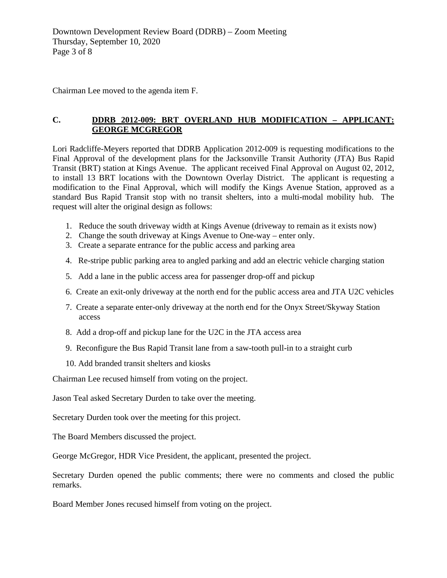Chairman Lee moved to the agenda item F.

# **C. DDRB 2012-009: BRT OVERLAND HUB MODIFICATION – APPLICANT: GEORGE MCGREGOR**

Lori Radcliffe-Meyers reported that DDRB Application 2012-009 is requesting modifications to the Final Approval of the development plans for the Jacksonville Transit Authority (JTA) Bus Rapid Transit (BRT) station at Kings Avenue. The applicant received Final Approval on August 02, 2012, to install 13 BRT locations with the Downtown Overlay District. The applicant is requesting a modification to the Final Approval, which will modify the Kings Avenue Station, approved as a standard Bus Rapid Transit stop with no transit shelters, into a multi-modal mobility hub. The request will alter the original design as follows:

- 1. Reduce the south driveway width at Kings Avenue (driveway to remain as it exists now)
- 2. Change the south driveway at Kings Avenue to One-way enter only.
- 3. Create a separate entrance for the public access and parking area
- 4. Re-stripe public parking area to angled parking and add an electric vehicle charging station
- 5. Add a lane in the public access area for passenger drop-off and pickup
- 6. Create an exit-only driveway at the north end for the public access area and JTA U2C vehicles
- 7. Create a separate enter-only driveway at the north end for the Onyx Street/Skyway Station access
- 8. Add a drop-off and pickup lane for the U2C in the JTA access area
- 9. Reconfigure the Bus Rapid Transit lane from a saw-tooth pull-in to a straight curb
- 10. Add branded transit shelters and kiosks

Chairman Lee recused himself from voting on the project.

Jason Teal asked Secretary Durden to take over the meeting.

Secretary Durden took over the meeting for this project.

The Board Members discussed the project.

George McGregor, HDR Vice President, the applicant, presented the project.

Secretary Durden opened the public comments; there were no comments and closed the public remarks.

Board Member Jones recused himself from voting on the project.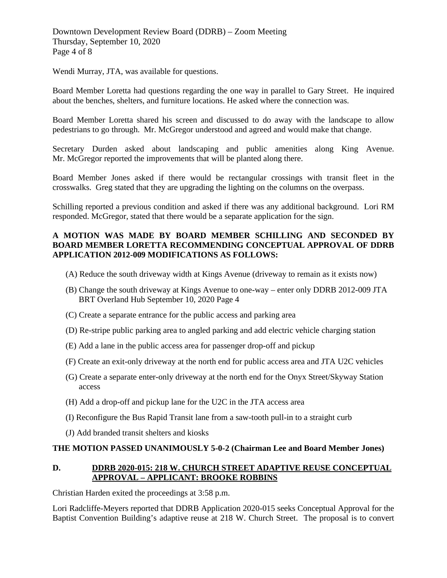Downtown Development Review Board (DDRB) – Zoom Meeting Thursday, September 10, 2020 Page 4 of 8

Wendi Murray, JTA, was available for questions.

Board Member Loretta had questions regarding the one way in parallel to Gary Street. He inquired about the benches, shelters, and furniture locations. He asked where the connection was.

Board Member Loretta shared his screen and discussed to do away with the landscape to allow pedestrians to go through. Mr. McGregor understood and agreed and would make that change.

Secretary Durden asked about landscaping and public amenities along King Avenue. Mr. McGregor reported the improvements that will be planted along there.

Board Member Jones asked if there would be rectangular crossings with transit fleet in the crosswalks. Greg stated that they are upgrading the lighting on the columns on the overpass.

Schilling reported a previous condition and asked if there was any additional background. Lori RM responded. McGregor, stated that there would be a separate application for the sign.

# **A MOTION WAS MADE BY BOARD MEMBER SCHILLING AND SECONDED BY BOARD MEMBER LORETTA RECOMMENDING CONCEPTUAL APPROVAL OF DDRB APPLICATION 2012-009 MODIFICATIONS AS FOLLOWS:**

- (A) Reduce the south driveway width at Kings Avenue (driveway to remain as it exists now)
- (B) Change the south driveway at Kings Avenue to one-way enter only DDRB 2012-009 JTA BRT Overland Hub September 10, 2020 Page 4
- (C) Create a separate entrance for the public access and parking area
- (D) Re-stripe public parking area to angled parking and add electric vehicle charging station
- (E) Add a lane in the public access area for passenger drop-off and pickup
- (F) Create an exit-only driveway at the north end for public access area and JTA U2C vehicles
- (G) Create a separate enter-only driveway at the north end for the Onyx Street/Skyway Station access
- (H) Add a drop-off and pickup lane for the U2C in the JTA access area
- (I) Reconfigure the Bus Rapid Transit lane from a saw-tooth pull-in to a straight curb
- (J) Add branded transit shelters and kiosks

#### **THE MOTION PASSED UNANIMOUSLY 5-0-2 (Chairman Lee and Board Member Jones)**

# **D. DDRB 2020-015: 218 W. CHURCH STREET ADAPTIVE REUSE CONCEPTUAL APPROVAL – APPLICANT: BROOKE ROBBINS**

Christian Harden exited the proceedings at 3:58 p.m.

Lori Radcliffe-Meyers reported that DDRB Application 2020-015 seeks Conceptual Approval for the Baptist Convention Building's adaptive reuse at 218 W. Church Street. The proposal is to convert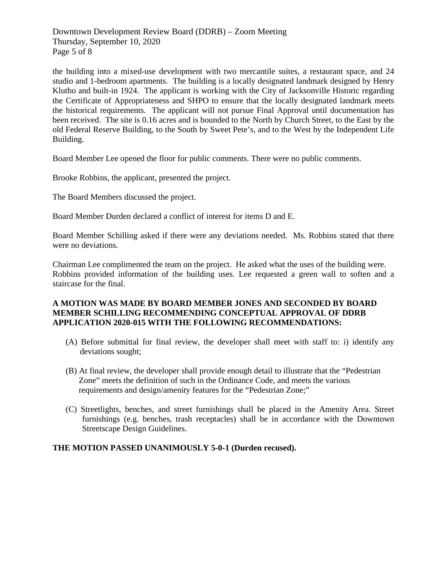Downtown Development Review Board (DDRB) – Zoom Meeting Thursday, September 10, 2020 Page 5 of 8

the building into a mixed-use development with two mercantile suites, a restaurant space, and 24 studio and 1-bedroom apartments. The building is a locally designated landmark designed by Henry Klutho and built-in 1924. The applicant is working with the City of Jacksonville Historic regarding the Certificate of Appropriateness and SHPO to ensure that the locally designated landmark meets the historical requirements. The applicant will not pursue Final Approval until documentation has been received. The site is 0.16 acres and is bounded to the North by Church Street, to the East by the old Federal Reserve Building, to the South by Sweet Pete's, and to the West by the Independent Life Building.

Board Member Lee opened the floor for public comments. There were no public comments.

Brooke Robbins, the applicant, presented the project.

The Board Members discussed the project.

Board Member Durden declared a conflict of interest for items D and E.

Board Member Schilling asked if there were any deviations needed. Ms. Robbins stated that there were no deviations.

Chairman Lee complimented the team on the project. He asked what the uses of the building were. Robbins provided information of the building uses. Lee requested a green wall to soften and a staircase for the final.

### **A MOTION WAS MADE BY BOARD MEMBER JONES AND SECONDED BY BOARD MEMBER SCHILLING RECOMMENDING CONCEPTUAL APPROVAL OF DDRB APPLICATION 2020-015 WITH THE FOLLOWING RECOMMENDATIONS:**

- (A) Before submittal for final review, the developer shall meet with staff to: i) identify any deviations sought;
- (B) At final review, the developer shall provide enough detail to illustrate that the "Pedestrian Zone" meets the definition of such in the Ordinance Code, and meets the various requirements and design/amenity features for the "Pedestrian Zone;"
- (C) Streetlights, benches, and street furnishings shall be placed in the Amenity Area. Street furnishings (e.g. benches, trash receptacles) shall be in accordance with the Downtown Streetscape Design Guidelines.

#### **THE MOTION PASSED UNANIMOUSLY 5-0-1 (Durden recused).**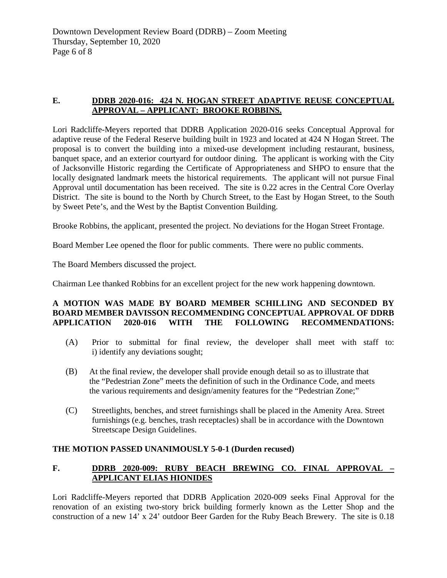# **E. DDRB 2020-016: 424 N. HOGAN STREET ADAPTIVE REUSE CONCEPTUAL APPROVAL – APPLICANT: BROOKE ROBBINS.**

Lori Radcliffe-Meyers reported that DDRB Application 2020-016 seeks Conceptual Approval for adaptive reuse of the Federal Reserve building built in 1923 and located at 424 N Hogan Street. The proposal is to convert the building into a mixed-use development including restaurant, business, banquet space, and an exterior courtyard for outdoor dining. The applicant is working with the City of Jacksonville Historic regarding the Certificate of Appropriateness and SHPO to ensure that the locally designated landmark meets the historical requirements. The applicant will not pursue Final Approval until documentation has been received. The site is 0.22 acres in the Central Core Overlay District. The site is bound to the North by Church Street, to the East by Hogan Street, to the South by Sweet Pete's, and the West by the Baptist Convention Building.

Brooke Robbins, the applicant, presented the project. No deviations for the Hogan Street Frontage.

Board Member Lee opened the floor for public comments. There were no public comments.

The Board Members discussed the project.

Chairman Lee thanked Robbins for an excellent project for the new work happening downtown.

# **A MOTION WAS MADE BY BOARD MEMBER SCHILLING AND SECONDED BY BOARD MEMBER DAVISSON RECOMMENDING CONCEPTUAL APPROVAL OF DDRB APPLICATION 2020-016 WITH THE FOLLOWING RECOMMENDATIONS:**

- (A) Prior to submittal for final review, the developer shall meet with staff to: i) identify any deviations sought;
- (B) At the final review, the developer shall provide enough detail so as to illustrate that the "Pedestrian Zone" meets the definition of such in the Ordinance Code, and meets the various requirements and design/amenity features for the "Pedestrian Zone;"
- (C) Streetlights, benches, and street furnishings shall be placed in the Amenity Area. Street furnishings (e.g. benches, trash receptacles) shall be in accordance with the Downtown Streetscape Design Guidelines.

# **THE MOTION PASSED UNANIMOUSLY 5-0-1 (Durden recused)**

# **F. DDRB 2020-009: RUBY BEACH BREWING CO. FINAL APPROVAL – APPLICANT ELIAS HIONIDES**

Lori Radcliffe-Meyers reported that DDRB Application 2020-009 seeks Final Approval for the renovation of an existing two-story brick building formerly known as the Letter Shop and the construction of a new 14' x 24' outdoor Beer Garden for the Ruby Beach Brewery. The site is 0.18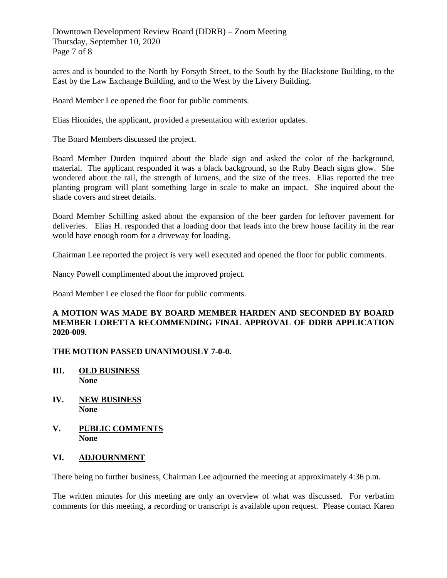Downtown Development Review Board (DDRB) – Zoom Meeting Thursday, September 10, 2020 Page 7 of 8

acres and is bounded to the North by Forsyth Street, to the South by the Blackstone Building, to the East by the Law Exchange Building, and to the West by the Livery Building.

Board Member Lee opened the floor for public comments.

Elias Hionides, the applicant, provided a presentation with exterior updates.

The Board Members discussed the project.

Board Member Durden inquired about the blade sign and asked the color of the background, material. The applicant responded it was a black background, so the Ruby Beach signs glow. She wondered about the rail, the strength of lumens, and the size of the trees. Elias reported the tree planting program will plant something large in scale to make an impact. She inquired about the shade covers and street details.

Board Member Schilling asked about the expansion of the beer garden for leftover pavement for deliveries. Elias H. responded that a loading door that leads into the brew house facility in the rear would have enough room for a driveway for loading.

Chairman Lee reported the project is very well executed and opened the floor for public comments.

Nancy Powell complimented about the improved project.

Board Member Lee closed the floor for public comments.

### **A MOTION WAS MADE BY BOARD MEMBER HARDEN AND SECONDED BY BOARD MEMBER LORETTA RECOMMENDING FINAL APPROVAL OF DDRB APPLICATION 2020-009.**

# **THE MOTION PASSED UNANIMOUSLY 7-0-0.**

- **III. OLD BUSINESS None**
- **IV. NEW BUSINESS None**
- **V. PUBLIC COMMENTS None**

# **VI. ADJOURNMENT**

There being no further business, Chairman Lee adjourned the meeting at approximately 4:36 p.m.

The written minutes for this meeting are only an overview of what was discussed. For verbatim comments for this meeting, a recording or transcript is available upon request. Please contact Karen